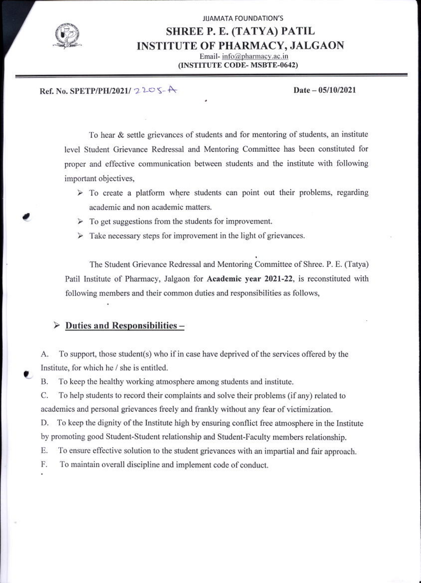

## **JIJAMATA FOUNDATION'S** SHREE P. E. (TATYA) PATIL **INSTITUTE OF PHARMACY, JALGAON** Email-info@pharmacy.ac.in (INSTITUTE CODE-MSBTE-0642)

### Ref. No. SPETP/PH/2021/  $2205-A$

#### Date - 05/10/2021

To hear & settle grievances of students and for mentoring of students, an institute level Student Grievance Redressal and Mentoring Committee has been constituted for proper and effective communication between students and the institute with following important objectives,

- $\triangleright$  To create a platform where students can point out their problems, regarding academic and non academic matters.
- $\triangleright$  To get suggestions from the students for improvement.
- $\triangleright$  Take necessary steps for improvement in the light of grievances.

The Student Grievance Redressal and Mentoring Committee of Shree, P. E. (Tatya) Patil Institute of Pharmacy, Jalgaon for Academic year 2021-22, is reconstituted with following members and their common duties and responsibilities as follows,

#### Duties and Responsibilities-⋗

To support, those student(s) who if in case have deprived of the services offered by the A. Institute, for which he / she is entitled.

To keep the healthy working atmosphere among students and institute. **B.** 

C. To help students to record their complaints and solve their problems (if any) related to academics and personal grievances freely and frankly without any fear of victimization.

To keep the dignity of the Institute high by ensuring conflict free atmosphere in the Institute D. by promoting good Student-Student relationship and Student-Faculty members relationship.

Е. To ensure effective solution to the student grievances with an impartial and fair approach.

F. To maintain overall discipline and implement code of conduct.